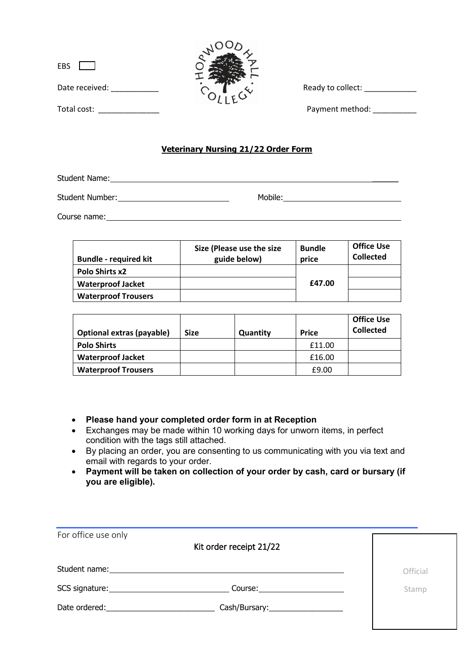| EBS            |  |  |
|----------------|--|--|
| Date received: |  |  |
| Total cost:    |  |  |



Ready to collect: \_\_\_\_\_\_\_\_\_\_\_\_\_\_

Payment method:

## **Veterinary Nursing 21/22 Order Form**

Student Name:

Student Number: Nobile: Mobile: Mobile: Mobile: Mobile: Mobile: Mobile: Mobile: Number: Nobile: Number: Number: Number: Number: Number: Number: Number: Number: Number: Number: Number: Number: Number: Number: Number: Number

Course name:

| <b>Bundle - required kit</b> | Size (Please use the size<br>guide below) | <b>Bundle</b><br>price | <b>Office Use</b><br><b>Collected</b> |
|------------------------------|-------------------------------------------|------------------------|---------------------------------------|
| <b>Polo Shirts x2</b>        |                                           |                        |                                       |
| <b>Waterproof Jacket</b>     |                                           | £47.00                 |                                       |
| <b>Waterproof Trousers</b>   |                                           |                        |                                       |

| <b>Optional extras (payable)</b> | <b>Size</b> | Quantity | <b>Price</b> | <b>Office Use</b><br><b>Collected</b> |
|----------------------------------|-------------|----------|--------------|---------------------------------------|
| <b>Polo Shirts</b>               |             |          | £11.00       |                                       |
| <b>Waterproof Jacket</b>         |             |          | £16.00       |                                       |
| <b>Waterproof Trousers</b>       |             |          | £9.00        |                                       |

- **Please hand your completed order form in at Reception**
- Exchanges may be made within 10 working days for unworn items, in perfect condition with the tags still attached.
- By placing an order, you are consenting to us communicating with you via text and email with regards to your order.
- **Payment will be taken on collection of your order by cash, card or bursary (if you are eligible).**

| For office use only                                                                                                                                                                                                            | Kit order receipt 21/22                                                                                                                                                                                                                                                                                                                                                                                                 |          |
|--------------------------------------------------------------------------------------------------------------------------------------------------------------------------------------------------------------------------------|-------------------------------------------------------------------------------------------------------------------------------------------------------------------------------------------------------------------------------------------------------------------------------------------------------------------------------------------------------------------------------------------------------------------------|----------|
| Student name:                                                                                                                                                                                                                  |                                                                                                                                                                                                                                                                                                                                                                                                                         | Official |
|                                                                                                                                                                                                                                | Course: $\frac{1}{\sqrt{1-\frac{1}{2}}}\frac{1}{\sqrt{1-\frac{1}{2}}}\frac{1}{\sqrt{1-\frac{1}{2}}}\frac{1}{\sqrt{1-\frac{1}{2}}}\frac{1}{\sqrt{1-\frac{1}{2}}}\frac{1}{\sqrt{1-\frac{1}{2}}}\frac{1}{\sqrt{1-\frac{1}{2}}}\frac{1}{\sqrt{1-\frac{1}{2}}}\frac{1}{\sqrt{1-\frac{1}{2}}}\frac{1}{\sqrt{1-\frac{1}{2}}}\frac{1}{\sqrt{1-\frac{1}{2}}}\frac{1}{\sqrt{1-\frac{1}{2}}}\frac{1}{\sqrt{1-\frac{1}{2}}}\frac{1$ | Stamp    |
| Date ordered: and the state of the state of the state of the state of the state of the state of the state of the state of the state of the state of the state of the state of the state of the state of the state of the state | Cash/Bursary:_____________________                                                                                                                                                                                                                                                                                                                                                                                      |          |